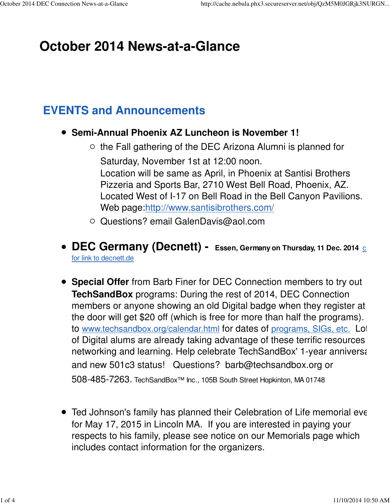# **October 2014 News-at-a-Glance**

#### **EVENTS and Announcements**

- **Semi-Annual Phoenix AZ Luncheon is November 1!**
	- $\circ$  the Fall gathering of the DEC Arizona Alumni is planned for Saturday, November 1st at 12:00 noon. Location will be same as April, in Phoenix at Santisi Brothers Pizzeria and Sports Bar, 2710 West Bell Road, Phoenix, AZ. Located West of I-17 on Bell Road in the Bell Canyon Pavilions. Web page:http://www.santisibrothers.com/
	- Questions? email GalenDavis@aol.com
- **DEC Germany (Decnett) -** Essen, Germany on Thursday, 11 Dec. 2014 c for link to decnett.de
- **Special Offer** from Barb Finer for DEC Connection members to try out **TechSandBox** programs: During the rest of 2014, DEC Connection members or anyone showing an old Digital badge when they register at the door will get \$20 off (which is free for more than half the programs). to www.techsandbox.org/calendar.html for dates of programs, SIGs, etc. Lot of Digital alums are already taking advantage of these terrific resources networking and learning. Help celebrate TechSandBox' 1-year anniversary and new 501c3 status! Questions? barb@techsandbox.org or 508-485-7263. TechSandBox™ Inc., 105B South Street Hopkinton, MA 01748
- Ted Johnson's family has planned their Celebration of Life memorial even for May 17, 2015 in Lincoln MA. If you are interested in paying your respects to his family, please see notice on our Memorials page which includes contact information for the organizers.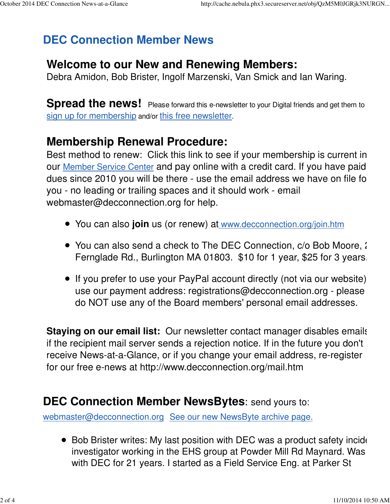## **DEC Connection Member News**

### **Welcome to our New and Renewing Members:**

Debra Amidon, Bob Brister, Ingolf Marzenski, Van Smick and Ian Waring.

**Spread the news!** Please forward this e-newsletter to your Digital friends and get them to sign up for membership and/or this free newsletter.

#### **Membership Renewal Procedure:**

Best method to renew: Click this link to see if your membership is current in our Member Service Center and pay online with a credit card. If you have paid dues since 2010 you will be there - use the email address we have on file for you - no leading or trailing spaces and it should work - email webmaster@decconnection.org for help.

- You can also **join** us (or renew) at www.decconnection.org/join.htm
- You can also send a check to The DEC Connection, c/o Bob Moore, 2 Fernglade Rd., Burlington MA 01803. \$10 for 1 year, \$25 for 3 years.
- If you prefer to use your PayPal account directly (not via our website) use our payment address: registrations@decconnection.org - please do NOT use any of the Board members' personal email addresses.

**Staying on our email list:** Our newsletter contact manager disables emails if the recipient mail server sends a rejection notice. If in the future you don't receive News-at-a-Glance, or if you change your email address, re-register for our free e-news at http://www.decconnection.org/mail.htm

#### **DEC Connection Member NewsBytes**: send yours to:

webmaster@decconnection.org See our new NewsByte archive page.

 $\bullet$  Bob Brister writes: My last position with DEC was a product safety incide investigator working in the EHS group at Powder Mill Rd Maynard. Was with DEC for 21 years. I started as a Field Service Eng. at Parker St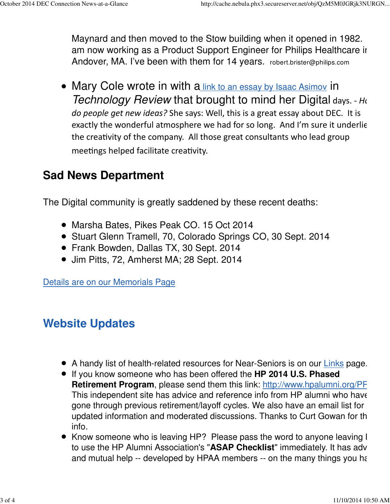Maynard and then moved to the Stow building when it opened in 1982. am now working as a Product Support Engineer for Philips Healthcare in Andover, MA. I've been with them for 14 years. robert.brister@philips.com

• Mary Cole wrote in with a link to an essay by Isaac Asimov in Technology Review that brought to mind her Digital days. - How do people get new ideas? She says: Well, this is a great essay about DEC. It is exactly the wonderful atmosphere we had for so long. And I'm sure it underlie the creativity of the company. All those great consultants who lead group meetings helped facilitate creativity.

### **Sad News Department**

The Digital community is greatly saddened by these recent deaths:

- Marsha Bates, Pikes Peak CO. 15 Oct 2014
- Stuart Glenn Tramell, 70, Colorado Springs CO, 30 Sept. 2014
- Frank Bowden, Dallas TX, 30 Sept. 2014
- Jim Pitts, 72, Amherst MA; 28 Sept. 2014

Details are on our Memorials Page

### **Website Updates**

- A handy list of health-related resources for Near-Seniors is on our Links page.
- If you know someone who has been offered the **HP 2014 U.S. Phased Retirement Program**, please send them this link: http://www.hpalumni.org/PF This independent site has advice and reference info from HP alumni who have gone through previous retirement/layoff cycles. We also have an email list for updated information and moderated discussions. Thanks to Curt Gowan for the info.
- Know someone who is leaving HP? Please pass the word to anyone leaving I to use the HP Alumni Association's "**ASAP Checklist**" immediately. It has adv and mutual help -- developed by HPAA members -- on the many things you have